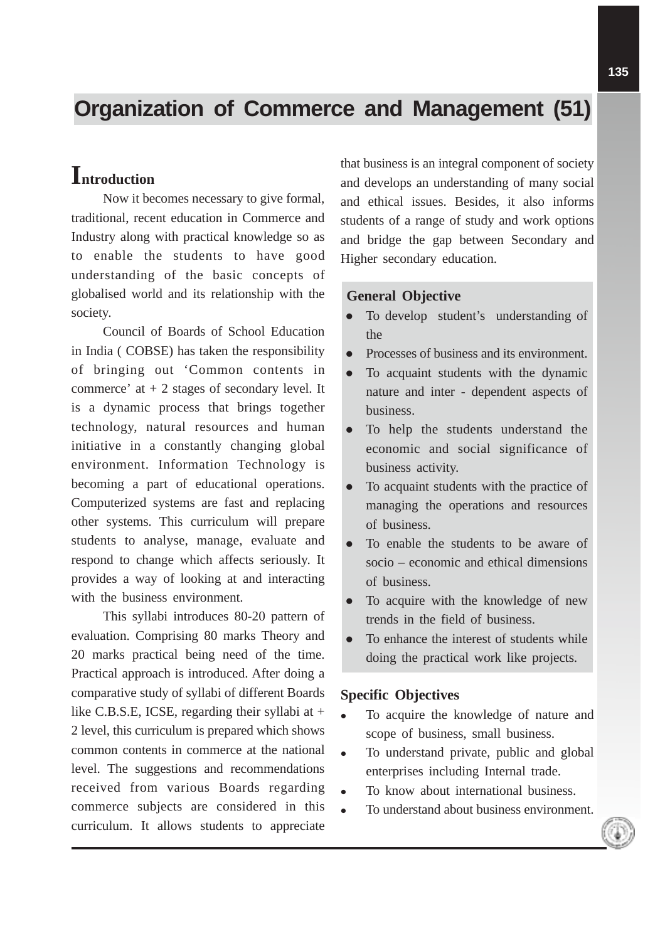# **Organization of Commerce and Management (51)**

# **Introduction**

Now it becomes necessary to give formal, traditional, recent education in Commerce and Industry along with practical knowledge so as to enable the students to have good understanding of the basic concepts of globalised world and its relationship with the society.

Council of Boards of School Education in India ( COBSE) has taken the responsibility of bringing out 'Common contents in commerce' at + 2 stages of secondary level. It is a dynamic process that brings together technology, natural resources and human initiative in a constantly changing global environment. Information Technology is becoming a part of educational operations. Computerized systems are fast and replacing other systems. This curriculum will prepare students to analyse, manage, evaluate and respond to change which affects seriously. It provides a way of looking at and interacting with the business environment.

This syllabi introduces 80-20 pattern of evaluation. Comprising 80 marks Theory and 20 marks practical being need of the time. Practical approach is introduced. After doing a comparative study of syllabi of different Boards like C.B.S.E, ICSE, regarding their syllabi at + 2 level, this curriculum is prepared which shows common contents in commerce at the national level. The suggestions and recommendations received from various Boards regarding commerce subjects are considered in this curriculum. It allows students to appreciate

that business is an integral component of society and develops an understanding of many social and ethical issues. Besides, it also informs students of a range of study and work options and bridge the gap between Secondary and Higher secondary education.

## **General Objective**

- To develop student's understanding of the
- Processes of business and its environment.
- To acquaint students with the dynamic nature and inter - dependent aspects of business.
- To help the students understand the economic and social significance of business activity.
- To acquaint students with the practice of managing the operations and resources of business.
- To enable the students to be aware of socio – economic and ethical dimensions of business.
- To acquire with the knowledge of new trends in the field of business.
- To enhance the interest of students while doing the practical work like projects.

#### **Specific Objectives**

- To acquire the knowledge of nature and scope of business, small business.
- To understand private, public and global enterprises including Internal trade.
- To know about international business.
- To understand about business environment.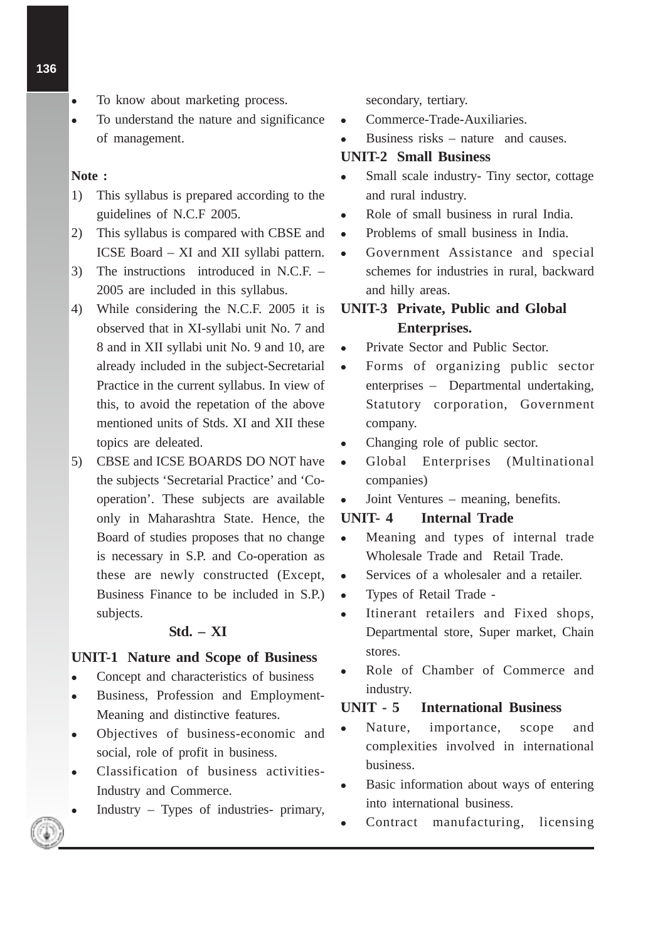- To know about marketing process.
- To understand the nature and significance of management.

#### **Note :**

- 1) This syllabus is prepared according to the guidelines of N.C.F 2005.
- 2) This syllabus is compared with CBSE and ICSE Board – XI and XII syllabi pattern.
- 3) The instructions introduced in N.C.F. 2005 are included in this syllabus.
- 4) While considering the N.C.F. 2005 it is observed that in XI-syllabi unit No. 7 and 8 and in XII syllabi unit No. 9 and 10, are already included in the subject-Secretarial Practice in the current syllabus. In view of this, to avoid the repetation of the above mentioned units of Stds. XI and XII these topics are deleated.
- 5) CBSE and ICSE BOARDS DO NOT have the subjects 'Secretarial Practice' and 'Cooperation'. These subjects are available only in Maharashtra State. Hence, the Board of studies proposes that no change is necessary in S.P. and Co-operation as these are newly constructed (Except, Business Finance to be included in S.P.) subjects.

# **Std. – XI**

#### **UNIT-1 Nature and Scope of Business**

- Concept and characteristics of business
- Business, Profession and Employment-Meaning and distinctive features.
- Objectives of business-economic and social, role of profit in business.
- Classification of business activities-Industry and Commerce.
- Industry Types of industries- primary,

secondary, tertiary.

- Commerce-Trade-Auxiliaries.
- Business risks nature and causes.

# **UNIT-2 Small Business**

- Small scale industry- Tiny sector, cottage and rural industry.
- Role of small business in rural India.
- Problems of small business in India.
- Government Assistance and special schemes for industries in rural, backward and hilly areas.

# **UNIT-3 Private, Public and Global Enterprises.**

- Private Sector and Public Sector.
- Forms of organizing public sector enterprises – Departmental undertaking, Statutory corporation, Government company.
- Changing role of public sector.
- Global Enterprises (Multinational companies)
- Joint Ventures meaning, benefits.

#### **UNIT- 4 Internal Trade**

- Meaning and types of internal trade Wholesale Trade and Retail Trade.
- Services of a wholesaler and a retailer.
- Types of Retail Trade -
- Itinerant retailers and Fixed shops, Departmental store, Super market, Chain stores.
- Role of Chamber of Commerce and industry.

# **UNIT - 5 International Business**

- Nature, importance, scope and complexities involved in international business.
- Basic information about ways of entering into international business.
- Contract manufacturing, licensing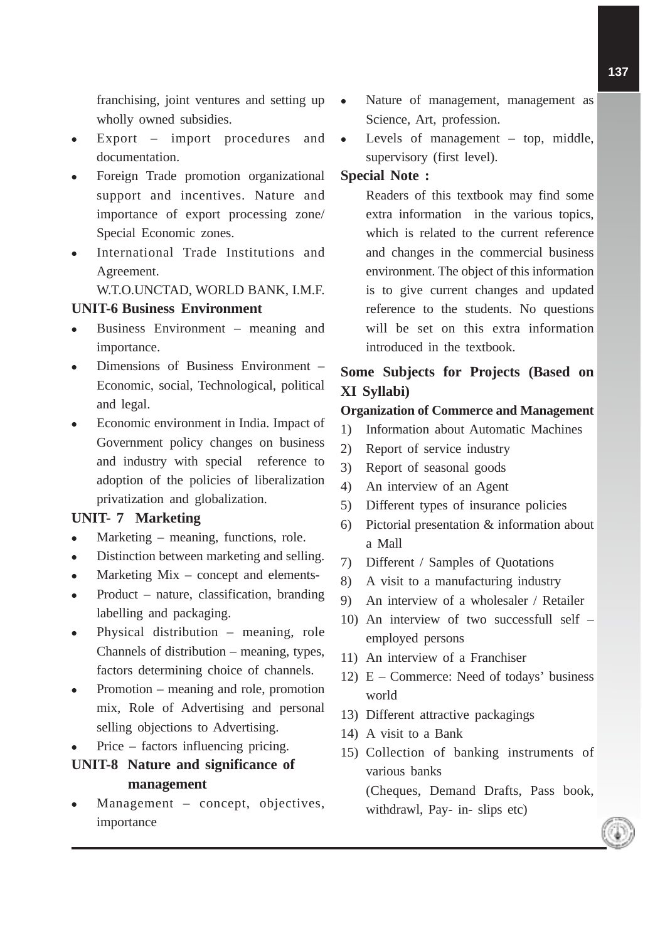franchising, joint ventures and setting up wholly owned subsidies.

- Export import procedures and documentation.
- Foreign Trade promotion organizational support and incentives. Nature and importance of export processing zone/ Special Economic zones.
- International Trade Institutions and Agreement.

W.T.O.UNCTAD, WORLD BANK, I.M.F.

### **UNIT-6 Business Environment**

- Business Environment meaning and importance.
- Dimensions of Business Environment Economic, social, Technological, political and legal.
- Economic environment in India. Impact of Government policy changes on business and industry with special reference to adoption of the policies of liberalization privatization and globalization.

# **UNIT- 7 Marketing**

- Marketing meaning, functions, role.
- Distinction between marketing and selling.
- Marketing Mix concept and elements-
- Product nature, classification, branding labelling and packaging.
- Physical distribution meaning, role Channels of distribution – meaning, types, factors determining choice of channels.
- Promotion meaning and role, promotion mix, Role of Advertising and personal selling objections to Advertising.
- Price factors influencing pricing.
- **UNIT-8 Nature and significance of management**
- Management concept, objectives, importance
- Nature of management, management as Science, Art, profession.
- Levels of management top, middle, supervisory (first level).

# **Special Note :**

Readers of this textbook may find some extra information in the various topics, which is related to the current reference and changes in the commercial business environment. The object of this information is to give current changes and updated reference to the students. No questions will be set on this extra information introduced in the textbook.

# **Some Subjects for Projects (Based on XI Syllabi)**

# **Organization of Commerce and Management**

- 1) Information about Automatic Machines
- 2) Report of service industry
- 3) Report of seasonal goods
- 4) An interview of an Agent
- 5) Different types of insurance policies
- 6) Pictorial presentation & information about a Mall
- 7) Different / Samples of Quotations
- 8) A visit to a manufacturing industry
- 9) An interview of a wholesaler / Retailer
- 10) An interview of two successfull self employed persons
- 11) An interview of a Franchiser
- 12) E Commerce: Need of todays' business world
- 13) Different attractive packagings
- 14) A visit to a Bank
- 15) Collection of banking instruments of various banks

(Cheques, Demand Drafts, Pass book, withdrawl, Pay- in- slips etc)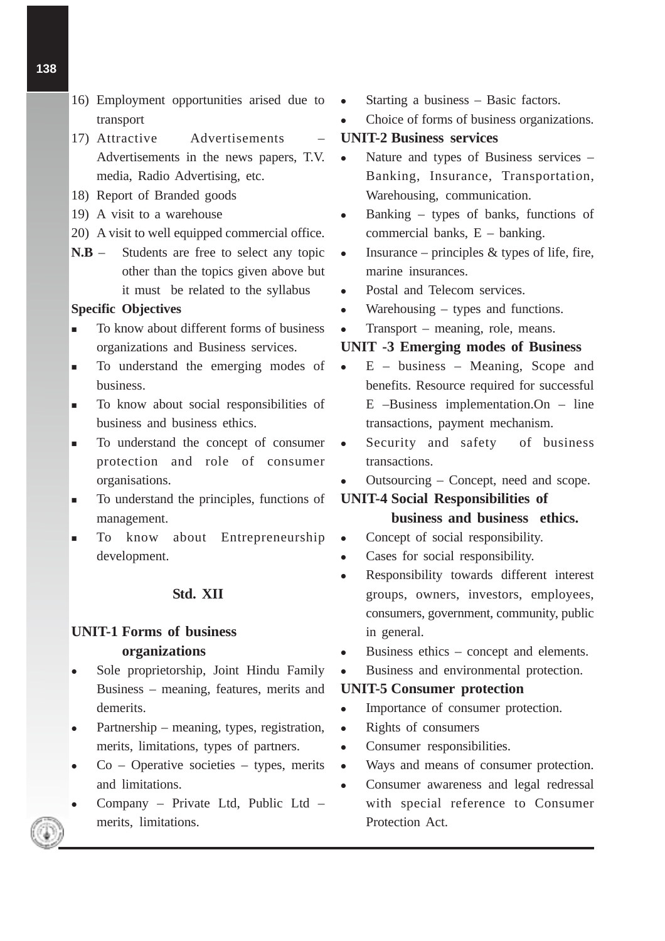- 16) Employment opportunities arised due to transport
- 17) Attractive Advertisements Advertisements in the news papers, T.V. media, Radio Advertising, etc.
- 18) Report of Branded goods
- 19) A visit to a warehouse
- 20) A visit to well equipped commercial office.
- **N.B** Students are free to select any topic other than the topics given above but it must be related to the syllabus

#### **Specific Objectives**

- - To know about different forms of business organizations and Business services.
- - To understand the emerging modes of business.
- - To know about social responsibilities of business and business ethics.
- - To understand the concept of consumer protection and role of consumer organisations.
- - To understand the principles, functions of management.
- - To know about Entrepreneurship development.

#### **Std. XII**

# **UNIT-1 Forms of business organizations**

- Sole proprietorship, Joint Hindu Family Business – meaning, features, merits and demerits.
- Partnership meaning, types, registration, merits, limitations, types of partners.
- Co Operative societies types, merits and limitations.
- Company Private Ltd, Public Ltd merits, limitations.
- Starting a business Basic factors.
- Choice of forms of business organizations.

## **UNIT-2 Business services**

- Nature and types of Business services Banking, Insurance, Transportation, Warehousing, communication.
- Banking types of banks, functions of commercial banks, E – banking.
- Insurance principles  $&$  types of life, fire, marine insurances.
- Postal and Telecom services.
- Warehousing types and functions.
- Transport meaning, role, means.

#### **UNIT -3 Emerging modes of Business**

- $\bullet$  E business Meaning, Scope and benefits. Resource required for successful E –Business implementation.On – line transactions, payment mechanism.
- Security and safety of business transactions.
- Outsourcing Concept, need and scope.

# **UNIT-4 Social Responsibilities of**

# **business and business ethics.**

- Concept of social responsibility.
- Cases for social responsibility.
- Responsibility towards different interest groups, owners, investors, employees, consumers, government, community, public in general.
- Business ethics concept and elements.
- Business and environmental protection.

#### **UNIT-5 Consumer protection**

- Importance of consumer protection.
- Rights of consumers
- Consumer responsibilities.
- Ways and means of consumer protection.
- Consumer awareness and legal redressal with special reference to Consumer Protection Act.